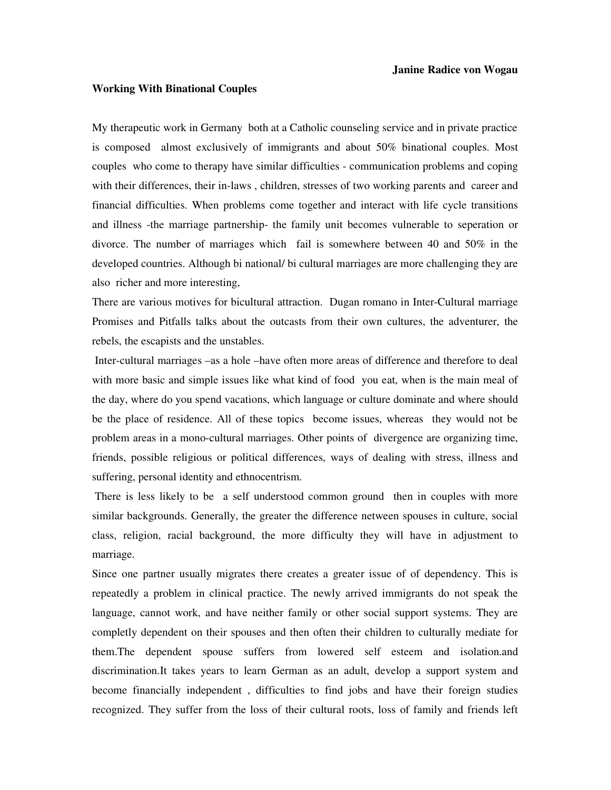## **Working With Binational Couples**

My therapeutic work in Germany both at a Catholic counseling service and in private practice is composed almost exclusively of immigrants and about 50% binational couples. Most couples who come to therapy have similar difficulties - communication problems and coping with their differences, their in-laws , children, stresses of two working parents and career and financial difficulties. When problems come together and interact with life cycle transitions and illness -the marriage partnership- the family unit becomes vulnerable to seperation or divorce. The number of marriages which fail is somewhere between 40 and 50% in the developed countries. Although bi national/ bi cultural marriages are more challenging they are also richer and more interesting,

There are various motives for bicultural attraction. Dugan romano in Inter-Cultural marriage Promises and Pitfalls talks about the outcasts from their own cultures, the adventurer, the rebels, the escapists and the unstables.

 Inter-cultural marriages –as a hole –have often more areas of difference and therefore to deal with more basic and simple issues like what kind of food you eat, when is the main meal of the day, where do you spend vacations, which language or culture dominate and where should be the place of residence. All of these topics become issues, whereas they would not be problem areas in a mono-cultural marriages. Other points of divergence are organizing time, friends, possible religious or political differences, ways of dealing with stress, illness and suffering, personal identity and ethnocentrism.

 There is less likely to be a self understood common ground then in couples with more similar backgrounds. Generally, the greater the difference netween spouses in culture, social class, religion, racial background, the more difficulty they will have in adjustment to marriage.

Since one partner usually migrates there creates a greater issue of of dependency. This is repeatedly a problem in clinical practice. The newly arrived immigrants do not speak the language, cannot work, and have neither family or other social support systems. They are completly dependent on their spouses and then often their children to culturally mediate for them.The dependent spouse suffers from lowered self esteem and isolation.and discrimination.It takes years to learn German as an adult, develop a support system and become financially independent , difficulties to find jobs and have their foreign studies recognized. They suffer from the loss of their cultural roots, loss of family and friends left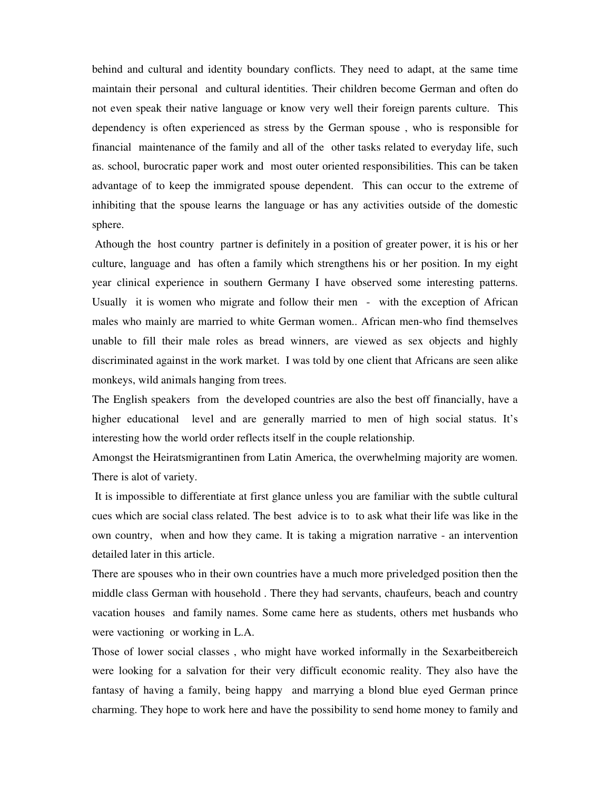behind and cultural and identity boundary conflicts. They need to adapt, at the same time maintain their personal and cultural identities. Their children become German and often do not even speak their native language or know very well their foreign parents culture. This dependency is often experienced as stress by the German spouse , who is responsible for financial maintenance of the family and all of the other tasks related to everyday life, such as. school, burocratic paper work and most outer oriented responsibilities. This can be taken advantage of to keep the immigrated spouse dependent. This can occur to the extreme of inhibiting that the spouse learns the language or has any activities outside of the domestic sphere.

 Athough the host country partner is definitely in a position of greater power, it is his or her culture, language and has often a family which strengthens his or her position. In my eight year clinical experience in southern Germany I have observed some interesting patterns. Usually it is women who migrate and follow their men - with the exception of African males who mainly are married to white German women.. African men-who find themselves unable to fill their male roles as bread winners, are viewed as sex objects and highly discriminated against in the work market. I was told by one client that Africans are seen alike monkeys, wild animals hanging from trees.

The English speakers from the developed countries are also the best off financially, have a higher educational level and are generally married to men of high social status. It's interesting how the world order reflects itself in the couple relationship.

Amongst the Heiratsmigrantinen from Latin America, the overwhelming majority are women. There is alot of variety.

 It is impossible to differentiate at first glance unless you are familiar with the subtle cultural cues which are social class related. The best advice is to to ask what their life was like in the own country, when and how they came. It is taking a migration narrative - an intervention detailed later in this article.

There are spouses who in their own countries have a much more priveledged position then the middle class German with household . There they had servants, chaufeurs, beach and country vacation houses and family names. Some came here as students, others met husbands who were vactioning or working in L.A.

Those of lower social classes , who might have worked informally in the Sexarbeitbereich were looking for a salvation for their very difficult economic reality. They also have the fantasy of having a family, being happy and marrying a blond blue eyed German prince charming. They hope to work here and have the possibility to send home money to family and